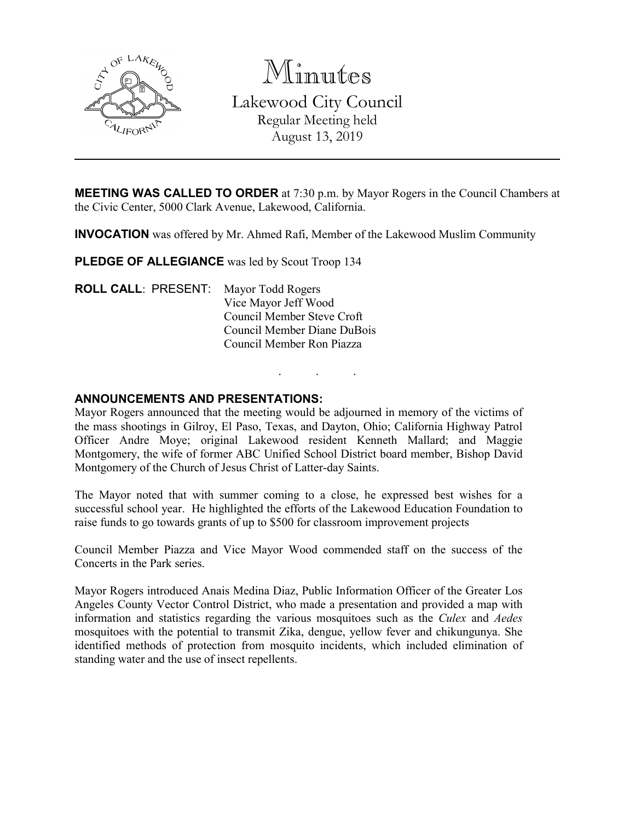

Minutes Lakewood City Council Regular Meeting held August 13, 2019

**MEETING WAS CALLED TO ORDER** at 7:30 p.m. by Mayor Rogers in the Council Chambers at the Civic Center, 5000 Clark Avenue, Lakewood, California.

**INVOCATION** was offered by Mr. Ahmed Rafi, Member of the Lakewood Muslim Community

PLEDGE OF ALLEGIANCE was led by Scout Troop 134

**ROLL CALL**: PRESENT: Mayor Todd Rogers Vice Mayor Jeff Wood Council Member Steve Croft Council Member Diane DuBois Council Member Ron Piazza

### **ANNOUNCEMENTS AND PRESENTATIONS:**

Mayor Rogers announced that the meeting would be adjourned in memory of the victims of the mass shootings in Gilroy, El Paso, Texas, and Dayton, Ohio; California Highway Patrol Officer Andre Moye; original Lakewood resident Kenneth Mallard; and Maggie Montgomery, the wife of former ABC Unified School District board member, Bishop David Montgomery of the Church of Jesus Christ of Latter-day Saints.

. . .

The Mayor noted that with summer coming to a close, he expressed best wishes for a successful school year. He highlighted the efforts of the Lakewood Education Foundation to raise funds to go towards grants of up to \$500 for classroom improvement projects

Council Member Piazza and Vice Mayor Wood commended staff on the success of the Concerts in the Park series.

Mayor Rogers introduced Anais Medina Diaz, Public Information Officer of the Greater Los Angeles County Vector Control District, who made a presentation and provided a map with information and statistics regarding the various mosquitoes such as the *Culex* and *Aedes* mosquitoes with the potential to transmit Zika, dengue, yellow fever and chikungunya. She identified methods of protection from mosquito incidents, which included elimination of standing water and the use of insect repellents.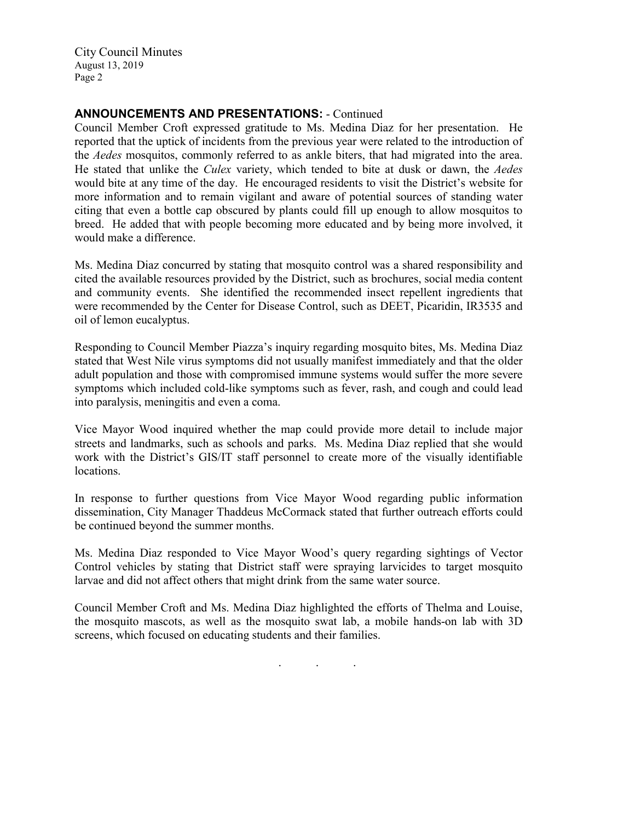## **ANNOUNCEMENTS AND PRESENTATIONS:** - Continued

Council Member Croft expressed gratitude to Ms. Medina Diaz for her presentation. He reported that the uptick of incidents from the previous year were related to the introduction of the *Aedes* mosquitos, commonly referred to as ankle biters, that had migrated into the area. He stated that unlike the *Culex* variety, which tended to bite at dusk or dawn, the *Aedes* would bite at any time of the day. He encouraged residents to visit the District's website for more information and to remain vigilant and aware of potential sources of standing water citing that even a bottle cap obscured by plants could fill up enough to allow mosquitos to breed. He added that with people becoming more educated and by being more involved, it would make a difference.

Ms. Medina Diaz concurred by stating that mosquito control was a shared responsibility and cited the available resources provided by the District, such as brochures, social media content and community events. She identified the recommended insect repellent ingredients that were recommended by the Center for Disease Control, such as DEET, Picaridin, IR3535 and oil of lemon eucalyptus.

Responding to Council Member Piazza's inquiry regarding mosquito bites, Ms. Medina Diaz stated that West Nile virus symptoms did not usually manifest immediately and that the older adult population and those with compromised immune systems would suffer the more severe symptoms which included cold-like symptoms such as fever, rash, and cough and could lead into paralysis, meningitis and even a coma.

Vice Mayor Wood inquired whether the map could provide more detail to include major streets and landmarks, such as schools and parks. Ms. Medina Diaz replied that she would work with the District's GIS/IT staff personnel to create more of the visually identifiable locations.

In response to further questions from Vice Mayor Wood regarding public information dissemination, City Manager Thaddeus McCormack stated that further outreach efforts could be continued beyond the summer months.

Ms. Medina Diaz responded to Vice Mayor Wood's query regarding sightings of Vector Control vehicles by stating that District staff were spraying larvicides to target mosquito larvae and did not affect others that might drink from the same water source.

Council Member Croft and Ms. Medina Diaz highlighted the efforts of Thelma and Louise, the mosquito mascots, as well as the mosquito swat lab, a mobile hands-on lab with 3D screens, which focused on educating students and their families.

. . .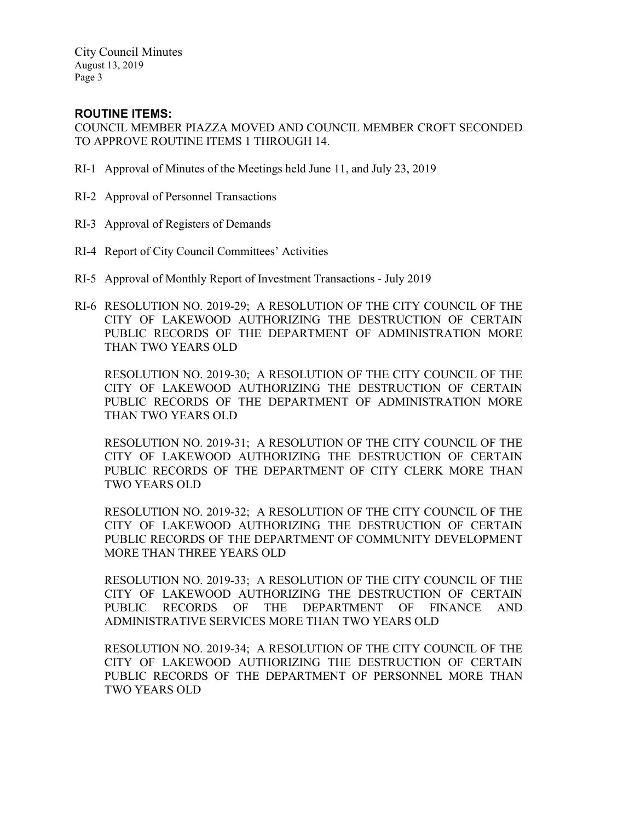# **ROUTINE ITEMS:**

COUNCIL MEMBER PIAZZA MOVED AND COUNCIL MEMBER CROFT SECONDED TO APPROVE ROUTINE ITEMS 1 THROUGH 14.

- RI-1 Approval of Minutes of the Meetings held June 11, and July 23, 2019
- RI-2 Approval of Personnel Transactions
- RI-3 Approval of Registers of Demands
- RI-4 Report of City Council Committees' Activities
- RI-5 Approval of Monthly Report of Investment Transactions July 2019
- RI-6 RESOLUTION NO. 2019-29; A RESOLUTION OF THE CITY COUNCIL OF THE CITY OF LAKEWOOD AUTHORIZING THE DESTRUCTION OF CERTAIN PUBLIC RECORDS OF THE DEPARTMENT OF ADMINISTRATION MORE THAN TWO YEARS OLD

RESOLUTION NO. 2019-30; A RESOLUTION OF THE CITY COUNCIL OF THE CITY OF LAKEWOOD AUTHORIZING THE DESTRUCTION OF CERTAIN PUBLIC RECORDS OF THE DEPARTMENT OF ADMINISTRATION MORE THAN TWO YEARS OLD

RESOLUTION NO. 2019-31; A RESOLUTION OF THE CITY COUNCIL OF THE CITY OF LAKEWOOD AUTHORIZING THE DESTRUCTION OF CERTAIN PUBLIC RECORDS OF THE DEPARTMENT OF CITY CLERK MORE THAN TWO YEARS OLD

RESOLUTION NO. 2019-32; A RESOLUTION OF THE CITY COUNCIL OF THE CITY OF LAKEWOOD AUTHORIZING THE DESTRUCTION OF CERTAIN PUBLIC RECORDS OF THE DEPARTMENT OF COMMUNITY DEVELOPMENT MORE THAN THREE YEARS OLD

RESOLUTION NO. 2019-33; A RESOLUTION OF THE CITY COUNCIL OF THE CITY OF LAKEWOOD AUTHORIZING THE DESTRUCTION OF CERTAIN PUBLIC RECORDS OF THE DEPARTMENT OF FINANCE AND ADMINISTRATIVE SERVICES MORE THAN TWO YEARS OLD

RESOLUTION NO. 2019-34; A RESOLUTION OF THE CITY COUNCIL OF THE CITY OF LAKEWOOD AUTHORIZING THE DESTRUCTION OF CERTAIN PUBLIC RECORDS OF THE DEPARTMENT OF PERSONNEL MORE THAN TWO YEARS OLD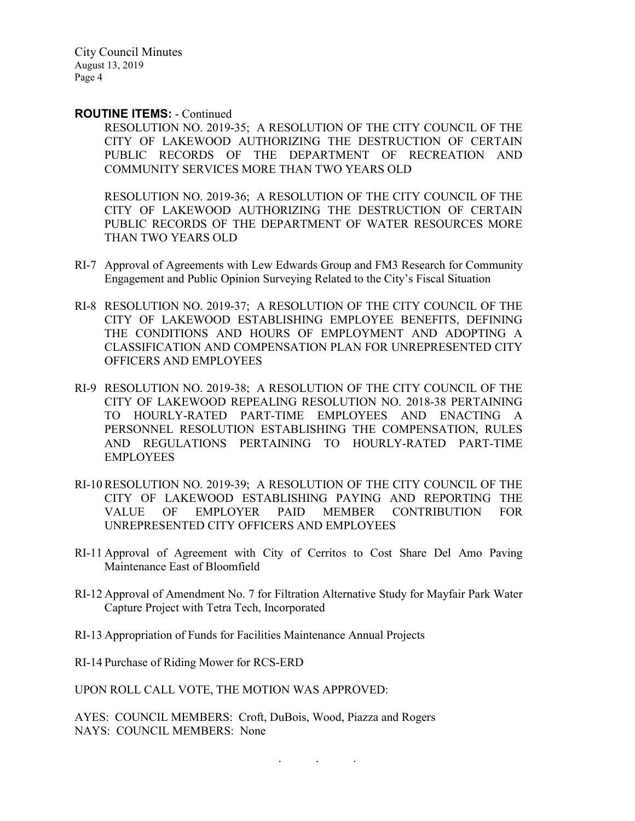#### **ROUTINE ITEMS:** - Continued

RESOLUTION NO. 2019-35; A RESOLUTION OF THE CITY COUNCIL OF THE CITY OF LAKEWOOD AUTHORIZING THE DESTRUCTION OF CERTAIN PUBLIC RECORDS OF THE DEPARTMENT OF RECREATION AND COMMUNITY SERVICES MORE THAN TWO YEARS OLD

RESOLUTION NO. 2019-36; A RESOLUTION OF THE CITY COUNCIL OF THE CITY OF LAKEWOOD AUTHORIZING THE DESTRUCTION OF CERTAIN PUBLIC RECORDS OF THE DEPARTMENT OF WATER RESOURCES MORE THAN TWO YEARS OLD

- RI-7 Approval of Agreements with Lew Edwards Group and FM3 Research for Community Engagement and Public Opinion Surveying Related to the City's Fiscal Situation
- RI-8 RESOLUTION NO. 2019-37; A RESOLUTION OF THE CITY COUNCIL OF THE CITY OF LAKEWOOD ESTABLISHING EMPLOYEE BENEFITS, DEFINING THE CONDITIONS AND HOURS OF EMPLOYMENT AND ADOPTING A CLASSIFICATION AND COMPENSATION PLAN FOR UNREPRESENTED CITY OFFICERS AND EMPLOYEES
- RI-9 RESOLUTION NO. 2019-38; A RESOLUTION OF THE CITY COUNCIL OF THE CITY OF LAKEWOOD REPEALING RESOLUTION NO. 2018-38 PERTAINING TO HOURLY-RATED PART-TIME EMPLOYEES AND ENACTING A PERSONNEL RESOLUTION ESTABLISHING THE COMPENSATION, RULES AND REGULATIONS PERTAINING TO HOURLY-RATED PART-TIME EMPLOYEES
- RI-10 RESOLUTION NO. 2019-39; A RESOLUTION OF THE CITY COUNCIL OF THE CITY OF LAKEWOOD ESTABLISHING PAYING AND REPORTING THE VALUE OF EMPLOYER PAID MEMBER CONTRIBUTION FOR UNREPRESENTED CITY OFFICERS AND EMPLOYEES
- RI-11 Approval of Agreement with City of Cerritos to Cost Share Del Amo Paving Maintenance East of Bloomfield
- RI-12 Approval of Amendment No. 7 for Filtration Alternative Study for Mayfair Park Water Capture Project with Tetra Tech, Incorporated

. . .

RI-13 Appropriation of Funds for Facilities Maintenance Annual Projects

RI-14 Purchase of Riding Mower for RCS-ERD

UPON ROLL CALL VOTE, THE MOTION WAS APPROVED:

AYES: COUNCIL MEMBERS: Croft, DuBois, Wood, Piazza and Rogers NAYS: COUNCIL MEMBERS: None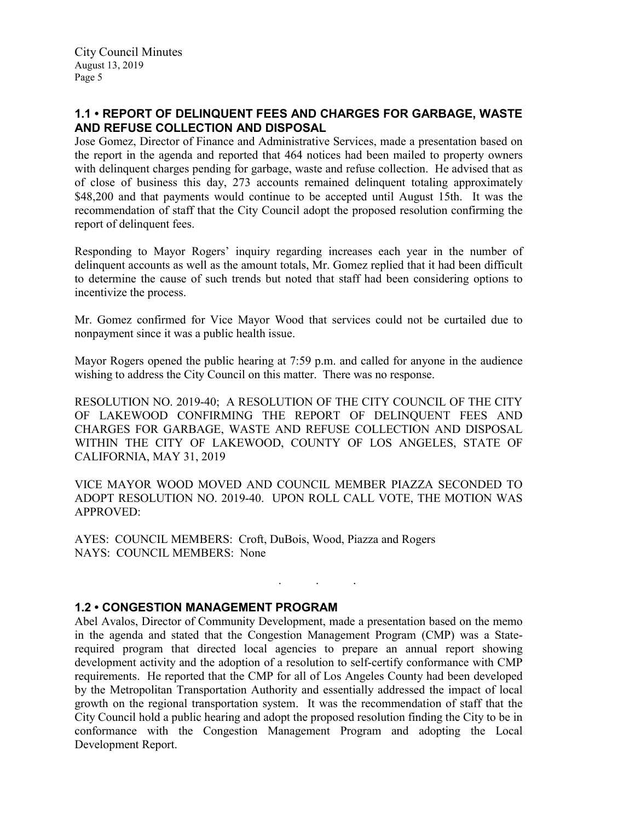# **1.1 • REPORT OF DELINQUENT FEES AND CHARGES FOR GARBAGE, WASTE AND REFUSE COLLECTION AND DISPOSAL**

Jose Gomez, Director of Finance and Administrative Services, made a presentation based on the report in the agenda and reported that 464 notices had been mailed to property owners with delinquent charges pending for garbage, waste and refuse collection. He advised that as of close of business this day, 273 accounts remained delinquent totaling approximately \$48,200 and that payments would continue to be accepted until August 15th. It was the recommendation of staff that the City Council adopt the proposed resolution confirming the report of delinquent fees.

Responding to Mayor Rogers' inquiry regarding increases each year in the number of delinquent accounts as well as the amount totals, Mr. Gomez replied that it had been difficult to determine the cause of such trends but noted that staff had been considering options to incentivize the process.

Mr. Gomez confirmed for Vice Mayor Wood that services could not be curtailed due to nonpayment since it was a public health issue.

Mayor Rogers opened the public hearing at 7:59 p.m. and called for anyone in the audience wishing to address the City Council on this matter. There was no response.

RESOLUTION NO. 2019-40; A RESOLUTION OF THE CITY COUNCIL OF THE CITY OF LAKEWOOD CONFIRMING THE REPORT OF DELINQUENT FEES AND CHARGES FOR GARBAGE, WASTE AND REFUSE COLLECTION AND DISPOSAL WITHIN THE CITY OF LAKEWOOD, COUNTY OF LOS ANGELES, STATE OF CALIFORNIA, MAY 31, 2019

VICE MAYOR WOOD MOVED AND COUNCIL MEMBER PIAZZA SECONDED TO ADOPT RESOLUTION NO. 2019-40. UPON ROLL CALL VOTE, THE MOTION WAS APPROVED:

. . .

AYES: COUNCIL MEMBERS: Croft, DuBois, Wood, Piazza and Rogers NAYS: COUNCIL MEMBERS: None

## **1.2 • CONGESTION MANAGEMENT PROGRAM**

Abel Avalos, Director of Community Development, made a presentation based on the memo in the agenda and stated that the Congestion Management Program (CMP) was a Staterequired program that directed local agencies to prepare an annual report showing development activity and the adoption of a resolution to self-certify conformance with CMP requirements. He reported that the CMP for all of Los Angeles County had been developed by the Metropolitan Transportation Authority and essentially addressed the impact of local growth on the regional transportation system. It was the recommendation of staff that the City Council hold a public hearing and adopt the proposed resolution finding the City to be in conformance with the Congestion Management Program and adopting the Local Development Report.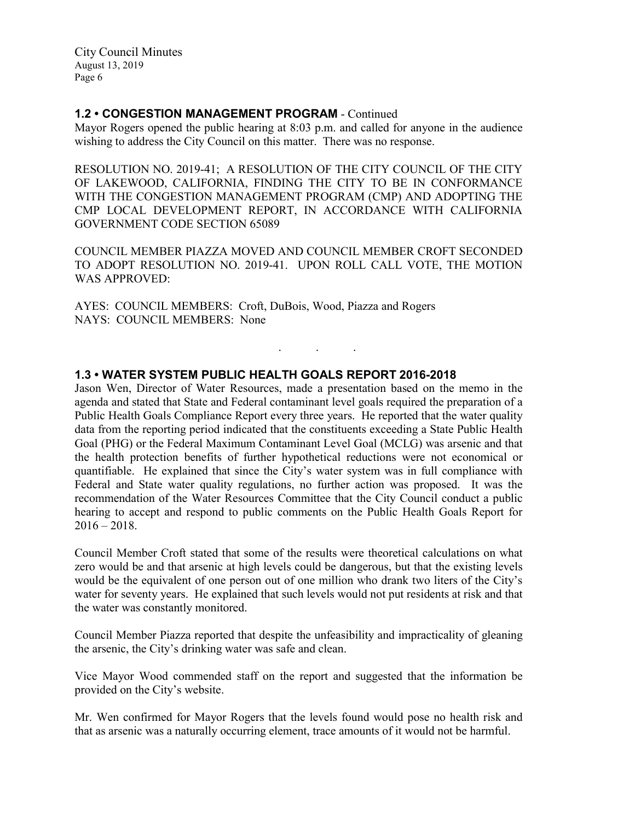### **1.2 • CONGESTION MANAGEMENT PROGRAM** - Continued

Mayor Rogers opened the public hearing at 8:03 p.m. and called for anyone in the audience wishing to address the City Council on this matter. There was no response.

RESOLUTION NO. 2019-41; A RESOLUTION OF THE CITY COUNCIL OF THE CITY OF LAKEWOOD, CALIFORNIA, FINDING THE CITY TO BE IN CONFORMANCE WITH THE CONGESTION MANAGEMENT PROGRAM (CMP) AND ADOPTING THE CMP LOCAL DEVELOPMENT REPORT, IN ACCORDANCE WITH CALIFORNIA GOVERNMENT CODE SECTION 65089

COUNCIL MEMBER PIAZZA MOVED AND COUNCIL MEMBER CROFT SECONDED TO ADOPT RESOLUTION NO. 2019-41. UPON ROLL CALL VOTE, THE MOTION WAS APPROVED:

. . .

AYES: COUNCIL MEMBERS: Croft, DuBois, Wood, Piazza and Rogers NAYS: COUNCIL MEMBERS: None

### **1.3 • WATER SYSTEM PUBLIC HEALTH GOALS REPORT 2016-2018**

Jason Wen, Director of Water Resources, made a presentation based on the memo in the agenda and stated that State and Federal contaminant level goals required the preparation of a Public Health Goals Compliance Report every three years. He reported that the water quality data from the reporting period indicated that the constituents exceeding a State Public Health Goal (PHG) or the Federal Maximum Contaminant Level Goal (MCLG) was arsenic and that the health protection benefits of further hypothetical reductions were not economical or quantifiable. He explained that since the City's water system was in full compliance with Federal and State water quality regulations, no further action was proposed. It was the recommendation of the Water Resources Committee that the City Council conduct a public hearing to accept and respond to public comments on the Public Health Goals Report for  $2016 - 2018.$ 

Council Member Croft stated that some of the results were theoretical calculations on what zero would be and that arsenic at high levels could be dangerous, but that the existing levels would be the equivalent of one person out of one million who drank two liters of the City's water for seventy years. He explained that such levels would not put residents at risk and that the water was constantly monitored.

Council Member Piazza reported that despite the unfeasibility and impracticality of gleaning the arsenic, the City's drinking water was safe and clean.

Vice Mayor Wood commended staff on the report and suggested that the information be provided on the City's website.

Mr. Wen confirmed for Mayor Rogers that the levels found would pose no health risk and that as arsenic was a naturally occurring element, trace amounts of it would not be harmful.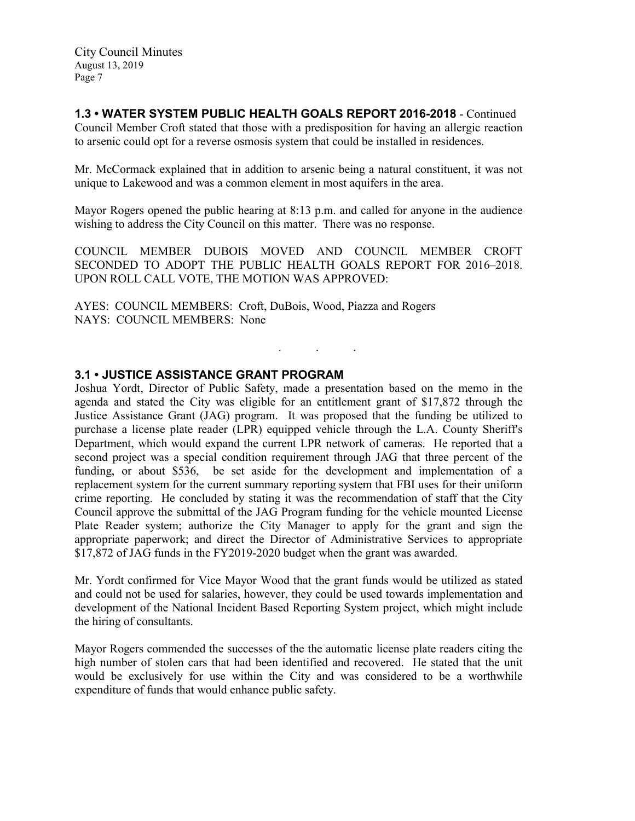## **1.3 • WATER SYSTEM PUBLIC HEALTH GOALS REPORT 2016-2018** - Continued

Council Member Croft stated that those with a predisposition for having an allergic reaction to arsenic could opt for a reverse osmosis system that could be installed in residences.

Mr. McCormack explained that in addition to arsenic being a natural constituent, it was not unique to Lakewood and was a common element in most aquifers in the area.

Mayor Rogers opened the public hearing at 8:13 p.m. and called for anyone in the audience wishing to address the City Council on this matter. There was no response.

COUNCIL MEMBER DUBOIS MOVED AND COUNCIL MEMBER CROFT SECONDED TO ADOPT THE PUBLIC HEALTH GOALS REPORT FOR 2016–2018. UPON ROLL CALL VOTE, THE MOTION WAS APPROVED:

. . .

AYES: COUNCIL MEMBERS: Croft, DuBois, Wood, Piazza and Rogers NAYS: COUNCIL MEMBERS: None

## **3.1 • JUSTICE ASSISTANCE GRANT PROGRAM**

Joshua Yordt, Director of Public Safety, made a presentation based on the memo in the agenda and stated the City was eligible for an entitlement grant of \$17,872 through the Justice Assistance Grant (JAG) program. It was proposed that the funding be utilized to purchase a license plate reader (LPR) equipped vehicle through the L.A. County Sheriff's Department, which would expand the current LPR network of cameras. He reported that a second project was a special condition requirement through JAG that three percent of the funding, or about \$536, be set aside for the development and implementation of a replacement system for the current summary reporting system that FBI uses for their uniform crime reporting. He concluded by stating it was the recommendation of staff that the City Council approve the submittal of the JAG Program funding for the vehicle mounted License Plate Reader system; authorize the City Manager to apply for the grant and sign the appropriate paperwork; and direct the Director of Administrative Services to appropriate \$17,872 of JAG funds in the FY2019-2020 budget when the grant was awarded.

Mr. Yordt confirmed for Vice Mayor Wood that the grant funds would be utilized as stated and could not be used for salaries, however, they could be used towards implementation and development of the National Incident Based Reporting System project, which might include the hiring of consultants.

Mayor Rogers commended the successes of the the automatic license plate readers citing the high number of stolen cars that had been identified and recovered. He stated that the unit would be exclusively for use within the City and was considered to be a worthwhile expenditure of funds that would enhance public safety.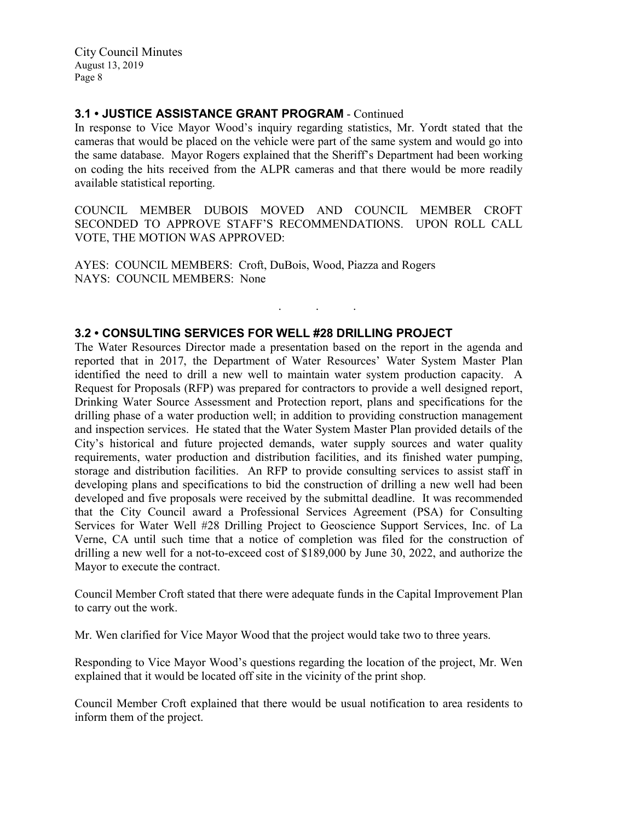## **3.1 • JUSTICE ASSISTANCE GRANT PROGRAM** - Continued

In response to Vice Mayor Wood's inquiry regarding statistics, Mr. Yordt stated that the cameras that would be placed on the vehicle were part of the same system and would go into the same database. Mayor Rogers explained that the Sheriff's Department had been working on coding the hits received from the ALPR cameras and that there would be more readily available statistical reporting.

COUNCIL MEMBER DUBOIS MOVED AND COUNCIL MEMBER CROFT SECONDED TO APPROVE STAFF'S RECOMMENDATIONS. UPON ROLL CALL VOTE, THE MOTION WAS APPROVED:

. . .

AYES: COUNCIL MEMBERS: Croft, DuBois, Wood, Piazza and Rogers NAYS: COUNCIL MEMBERS: None

## **3.2 • CONSULTING SERVICES FOR WELL #28 DRILLING PROJECT**

The Water Resources Director made a presentation based on the report in the agenda and reported that in 2017, the Department of Water Resources' Water System Master Plan identified the need to drill a new well to maintain water system production capacity. A Request for Proposals (RFP) was prepared for contractors to provide a well designed report, Drinking Water Source Assessment and Protection report, plans and specifications for the drilling phase of a water production well; in addition to providing construction management and inspection services. He stated that the Water System Master Plan provided details of the City's historical and future projected demands, water supply sources and water quality requirements, water production and distribution facilities, and its finished water pumping, storage and distribution facilities. An RFP to provide consulting services to assist staff in developing plans and specifications to bid the construction of drilling a new well had been developed and five proposals were received by the submittal deadline. It was recommended that the City Council award a Professional Services Agreement (PSA) for Consulting Services for Water Well #28 Drilling Project to Geoscience Support Services, Inc. of La Verne, CA until such time that a notice of completion was filed for the construction of drilling a new well for a not-to-exceed cost of \$189,000 by June 30, 2022, and authorize the Mayor to execute the contract.

Council Member Croft stated that there were adequate funds in the Capital Improvement Plan to carry out the work.

Mr. Wen clarified for Vice Mayor Wood that the project would take two to three years.

Responding to Vice Mayor Wood's questions regarding the location of the project, Mr. Wen explained that it would be located off site in the vicinity of the print shop.

Council Member Croft explained that there would be usual notification to area residents to inform them of the project.